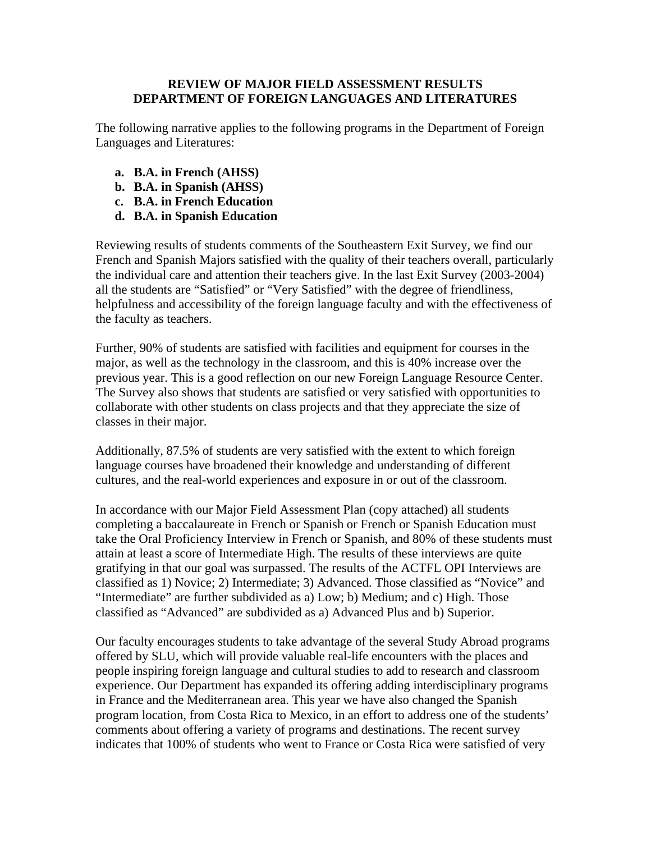## **REVIEW OF MAJOR FIELD ASSESSMENT RESULTS DEPARTMENT OF FOREIGN LANGUAGES AND LITERATURES**

The following narrative applies to the following programs in the Department of Foreign Languages and Literatures:

- **a. B.A. in French (AHSS)**
- **b. B.A. in Spanish (AHSS)**
- **c. B.A. in French Education**
- **d. B.A. in Spanish Education**

Reviewing results of students comments of the Southeastern Exit Survey, we find our French and Spanish Majors satisfied with the quality of their teachers overall, particularly the individual care and attention their teachers give. In the last Exit Survey (2003-2004) all the students are "Satisfied" or "Very Satisfied" with the degree of friendliness, helpfulness and accessibility of the foreign language faculty and with the effectiveness of the faculty as teachers.

Further, 90% of students are satisfied with facilities and equipment for courses in the major, as well as the technology in the classroom, and this is 40% increase over the previous year. This is a good reflection on our new Foreign Language Resource Center. The Survey also shows that students are satisfied or very satisfied with opportunities to collaborate with other students on class projects and that they appreciate the size of classes in their major.

Additionally, 87.5% of students are very satisfied with the extent to which foreign language courses have broadened their knowledge and understanding of different cultures, and the real-world experiences and exposure in or out of the classroom.

In accordance with our Major Field Assessment Plan (copy attached) all students completing a baccalaureate in French or Spanish or French or Spanish Education must take the Oral Proficiency Interview in French or Spanish, and 80% of these students must attain at least a score of Intermediate High. The results of these interviews are quite gratifying in that our goal was surpassed. The results of the ACTFL OPI Interviews are classified as 1) Novice; 2) Intermediate; 3) Advanced. Those classified as "Novice" and "Intermediate" are further subdivided as a) Low; b) Medium; and c) High. Those classified as "Advanced" are subdivided as a) Advanced Plus and b) Superior.

Our faculty encourages students to take advantage of the several Study Abroad programs offered by SLU, which will provide valuable real-life encounters with the places and people inspiring foreign language and cultural studies to add to research and classroom experience. Our Department has expanded its offering adding interdisciplinary programs in France and the Mediterranean area. This year we have also changed the Spanish program location, from Costa Rica to Mexico, in an effort to address one of the students' comments about offering a variety of programs and destinations. The recent survey indicates that 100% of students who went to France or Costa Rica were satisfied of very